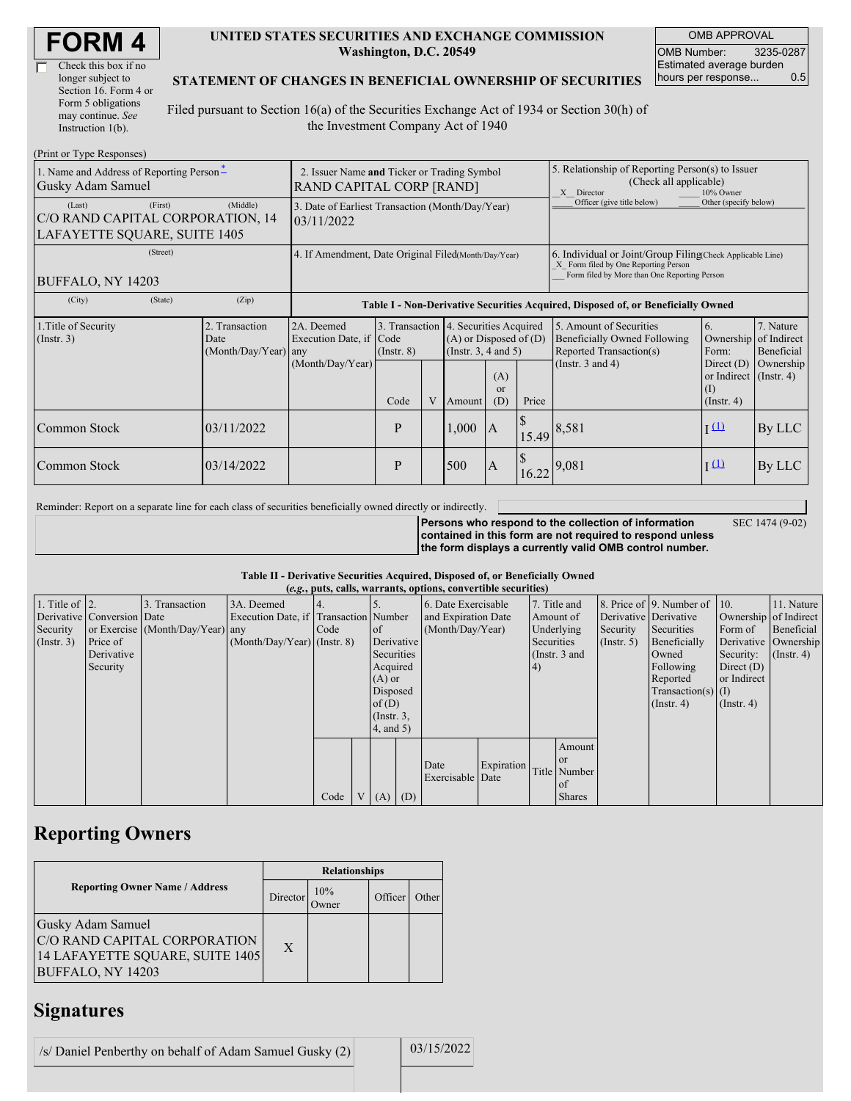| <b>FORM4</b> |
|--------------|
|--------------|

| Check this box if no  |
|-----------------------|
| longer subject to     |
| Section 16. Form 4 or |
| Form 5 obligations    |
| may continue. See     |
| Instruction 1(b).     |

### **UNITED STATES SECURITIES AND EXCHANGE COMMISSION Washington, D.C. 20549**

OMB APPROVAL OMB Number: 3235-0287 Estimated average burden hours per response... 0.5

### **STATEMENT OF CHANGES IN BENEFICIAL OWNERSHIP OF SECURITIES**

Filed pursuant to Section 16(a) of the Securities Exchange Act of 1934 or Section 30(h) of the Investment Company Act of 1940

| (Print or Type Responses)                                                             |                                                                                |                                                           |                                                                                  |   |                                                              |                                                                                                                                                    |                                                                                                       |                                                                                                                    |                                                                                                                 |                                      |  |
|---------------------------------------------------------------------------------------|--------------------------------------------------------------------------------|-----------------------------------------------------------|----------------------------------------------------------------------------------|---|--------------------------------------------------------------|----------------------------------------------------------------------------------------------------------------------------------------------------|-------------------------------------------------------------------------------------------------------|--------------------------------------------------------------------------------------------------------------------|-----------------------------------------------------------------------------------------------------------------|--------------------------------------|--|
| 1. Name and Address of Reporting Person-<br>Gusky Adam Samuel                         | 2. Issuer Name and Ticker or Trading Symbol<br><b>RAND CAPITAL CORP [RAND]</b> |                                                           |                                                                                  |   |                                                              |                                                                                                                                                    | 5. Relationship of Reporting Person(s) to Issuer<br>(Check all applicable)<br>X Director<br>10% Owner |                                                                                                                    |                                                                                                                 |                                      |  |
| (First)<br>(Last)<br>C/O RAND CAPITAL CORPORATION, 14<br>LAFAYETTE SQUARE, SUITE 1405 | 3. Date of Earliest Transaction (Month/Day/Year)<br>03/11/2022                 |                                                           |                                                                                  |   |                                                              |                                                                                                                                                    | Officer (give title below)                                                                            | Other (specify below)                                                                                              |                                                                                                                 |                                      |  |
| (Street)<br><b>BUFFALO, NY 14203</b>                                                  | 4. If Amendment, Date Original Filed(Month/Day/Year)                           |                                                           |                                                                                  |   |                                                              | 6. Individual or Joint/Group Filing Check Applicable Line)<br>X Form filed by One Reporting Person<br>Form filed by More than One Reporting Person |                                                                                                       |                                                                                                                    |                                                                                                                 |                                      |  |
| (City)<br>(State)                                                                     | (Zip)                                                                          |                                                           | Table I - Non-Derivative Securities Acquired, Disposed of, or Beneficially Owned |   |                                                              |                                                                                                                                                    |                                                                                                       |                                                                                                                    |                                                                                                                 |                                      |  |
| 1. Title of Security<br>(Insert. 3)                                                   | 2. Transaction<br>Date<br>(Month/Day/Year) any                                 | 2A. Deemed<br>Execution Date, if Code<br>(Month/Day/Year) | 3. Transaction 4. Securities Acquired<br>$($ Instr. $8)$<br>Code                 | V | $(A)$ or Disposed of $(D)$<br>(Insert. 3, 4 and 5)<br>Amount | (A)<br>$\alpha$<br>(D)                                                                                                                             | Price                                                                                                 | 5. Amount of Securities<br><b>Beneficially Owned Following</b><br>Reported Transaction(s)<br>(Instr. $3$ and $4$ ) | 6.<br>Ownership of Indirect<br>Form:<br>Direct $(D)$<br>or Indirect $($ Instr. 4 $)$<br>(I)<br>$($ Instr. 4 $)$ | 7. Nature<br>Beneficial<br>Ownership |  |
| Common Stock                                                                          | 03/11/2022                                                                     |                                                           | P                                                                                |   | 1,000                                                        | <sup>1</sup> A                                                                                                                                     |                                                                                                       | $115.49 \mid 8,581$                                                                                                | $\overline{1}$ $(1)$                                                                                            | By LLC                               |  |
| Common Stock                                                                          | 03/14/2022                                                                     |                                                           | P                                                                                |   | 500                                                          | <b>IA</b>                                                                                                                                          | 16.22                                                                                                 | 9,081                                                                                                              | $\overline{1}$ $(1)$                                                                                            | By LLC                               |  |

Reminder: Report on a separate line for each class of securities beneficially owned directly or indirectly.

SEC 1474 (9-02)

**Persons who respond to the collection of information contained in this form are not required to respond unless the form displays a currently valid OMB control number.**

### **Table II - Derivative Securities Acquired, Disposed of, or Beneficially Owned**

|                        | (e.g., puts, calls, warrants, options, convertible securities) |                                  |                                       |      |                |                 |  |                     |            |            |                 |                       |                                              |                       |                      |
|------------------------|----------------------------------------------------------------|----------------------------------|---------------------------------------|------|----------------|-----------------|--|---------------------|------------|------------|-----------------|-----------------------|----------------------------------------------|-----------------------|----------------------|
| 1. Title of $\vert$ 2. |                                                                | 3. Transaction                   | 3A. Deemed                            |      |                |                 |  | 6. Date Exercisable |            |            | 7. Title and    |                       | 8. Price of $\vert$ 9. Number of $\vert$ 10. |                       | 11. Nature           |
|                        | Derivative Conversion Date                                     |                                  | Execution Date, if Transaction Number |      |                |                 |  | and Expiration Date |            |            | Amount of       | Derivative Derivative |                                              | Ownership of Indirect |                      |
| Security               |                                                                | or Exercise (Month/Day/Year) any |                                       | Code |                | <sub>of</sub>   |  | (Month/Day/Year)    |            |            | Underlying      | Security              | Securities                                   | Form of               | Beneficial           |
| (Insert. 3)            | Price of                                                       |                                  | $(Month/Day/Year)$ (Instr. 8)         |      |                | Derivative      |  |                     |            | Securities |                 | $($ Instr. 5 $)$      | Beneficially                                 |                       | Derivative Ownership |
|                        | Derivative                                                     |                                  |                                       |      |                | Securities      |  |                     |            |            | (Instr. $3$ and |                       | Owned                                        | Security:             | $($ Instr. 4 $)$     |
|                        | Security                                                       |                                  |                                       |      |                | Acquired        |  |                     |            | (4)        |                 |                       | Following                                    | Direct $(D)$          |                      |
|                        |                                                                |                                  |                                       |      |                | $(A)$ or        |  |                     |            |            |                 |                       | Reported                                     | or Indirect           |                      |
|                        |                                                                |                                  |                                       |      |                | Disposed        |  |                     |            |            |                 |                       | $Transaction(s)$ (I)                         |                       |                      |
|                        |                                                                |                                  |                                       |      |                | of(D)           |  |                     |            |            |                 |                       | $($ Instr. 4 $)$                             | $($ Instr. 4 $)$      |                      |
|                        |                                                                |                                  |                                       |      |                | $($ Instr. $3,$ |  |                     |            |            |                 |                       |                                              |                       |                      |
|                        |                                                                |                                  |                                       |      |                | 4, and 5)       |  |                     |            |            |                 |                       |                                              |                       |                      |
|                        |                                                                |                                  |                                       |      |                |                 |  |                     |            |            | Amount          |                       |                                              |                       |                      |
|                        |                                                                |                                  |                                       |      |                |                 |  | Date                | Expiration |            | <b>or</b>       |                       |                                              |                       |                      |
|                        |                                                                |                                  |                                       |      |                |                 |  | Exercisable Date    |            |            | Title Number    |                       |                                              |                       |                      |
|                        |                                                                |                                  |                                       |      |                |                 |  |                     |            |            | of              |                       |                                              |                       |                      |
|                        |                                                                |                                  |                                       | Code | V <sub>1</sub> | $(A)$ $(D)$     |  |                     |            |            | <b>Shares</b>   |                       |                                              |                       |                      |

## **Reporting Owners**

|                                                                                                                  | <b>Relationships</b> |                     |         |       |  |  |  |
|------------------------------------------------------------------------------------------------------------------|----------------------|---------------------|---------|-------|--|--|--|
| <b>Reporting Owner Name / Address</b>                                                                            | Director             | 10%<br><b>Twner</b> | Officer | Other |  |  |  |
| <b>Gusky Adam Samuel</b><br>C/O RAND CAPITAL CORPORATION<br>14 LAFAYETTE SQUARE, SUITE 1405<br>BUFFALO, NY 14203 | X                    |                     |         |       |  |  |  |

## **Signatures**

/s/ Daniel Penberthy on behalf of Adam Samuel Gusky  $(2)$  03/15/2022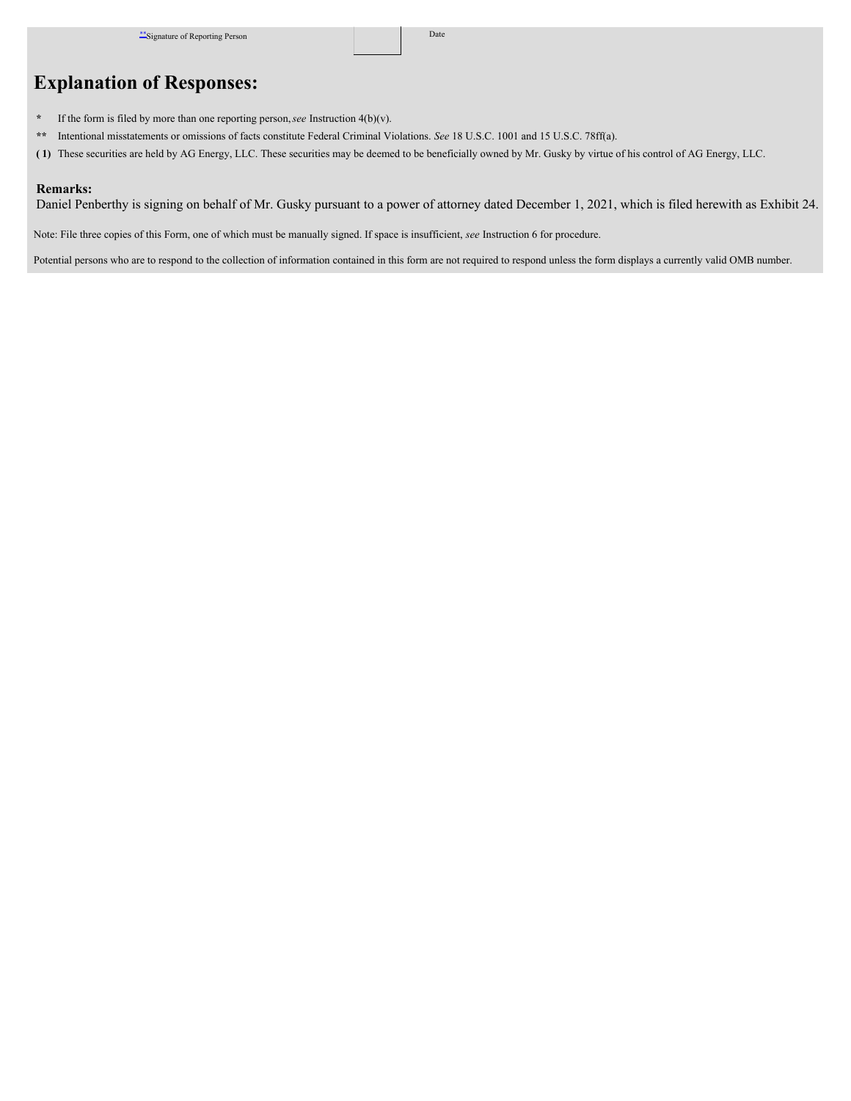# **Explanation of Responses:**

- **\*** If the form is filed by more than one reporting person,*see* Instruction 4(b)(v).
- **\*\*** Intentional misstatements or omissions of facts constitute Federal Criminal Violations. *See* 18 U.S.C. 1001 and 15 U.S.C. 78ff(a).
- **( 1)** These securities are held by AG Energy, LLC. These securities may be deemed to be beneficially owned by Mr. Gusky by virtue of his control of AG Energy, LLC.

### **Remarks:**

Daniel Penberthy is signing on behalf of Mr. Gusky pursuant to a power of attorney dated December 1, 2021, which is filed herewith as Exhibit 24.

Note: File three copies of this Form, one of which must be manually signed. If space is insufficient, *see* Instruction 6 for procedure.

Potential persons who are to respond to the collection of information contained in this form are not required to respond unless the form displays a currently valid OMB number.